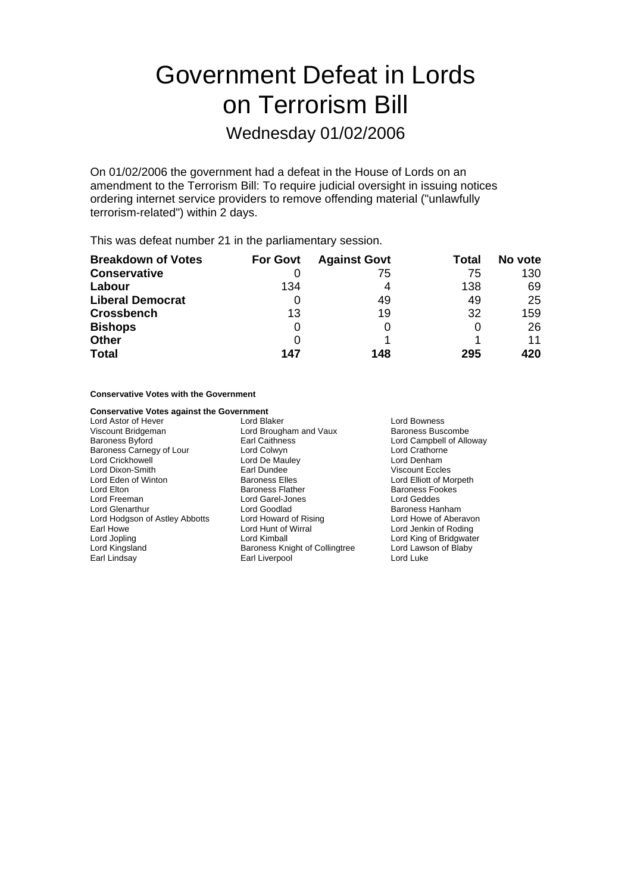## Government Defeat in Lords on Terrorism Bill

## Wednesday 01/02/2006

On 01/02/2006 the government had a defeat in the House of Lords on an amendment to the Terrorism Bill: To require judicial oversight in issuing notices ordering internet service providers to remove offending material ("unlawfully terrorism-related") within 2 days.

This was defeat number 21 in the parliamentary session.

| <b>Breakdown of Votes</b> | <b>For Govt</b> | <b>Against Govt</b> | Total | No vote |
|---------------------------|-----------------|---------------------|-------|---------|
| <b>Conservative</b>       |                 | 75                  | 75    | 130     |
| Labour                    | 134             | 4                   | 138   | 69      |
| <b>Liberal Democrat</b>   |                 | 49                  | 49    | 25      |
| <b>Crossbench</b>         | 13              | 19                  | 32    | 159     |
| <b>Bishops</b>            | 0               |                     | 0     | 26      |
| <b>Other</b>              | 0               |                     |       | 11      |
| <b>Total</b>              | 147             | 148                 | 295   | 420     |

#### **Conservative Votes with the Government**

## **Conservative Votes against the Government<br>Lord Astor of Hever Lord Blaker**

Viscount Bridgeman **Victor Contract Contract Contract Baroness Buscombe**<br>Baroness Byford **Baroness** Earl Caithness **Contract Contract Contract Campbell of Allc** Baroness Carnegy of Lour Lord Crickhowell **Lord De Mauley** Lord Denham Lord Dixon-Smith **Earl Dundee** Carl Dundee Viscount Eccles<br>
Lord Eden of Winton **Carl Baroness Elles** Carl Lord Elliott of Morpeth Lord Eden of Winton<br>Lord Elton Lord Freeman Lord Garel-Jones Lord Geddes Lord Hodgson of Astley Abbotts Lord Howard of Rising Lord Howard of Rising Lord Howard of Nirral Earl Howe **Lord Hunt of Wirral** Lord Hunt of Wirral Lord Jenkin of Roding Lord Jopling The Lord Kimball Lord Collingtree Lord King of Bridgwater<br>
Lord Kingsland The Baroness Knight of Collingtree Lord Lawson of Blaby Lord Kingsland **Baroness Knight of Collingtree** Lord Laws<br>
Bar Bar Liverpool **Collingtree** Lord Luke

Lord Astor of Hever **Lord Blaker** Lord Blaker **Lord Bowness** Earl Caithness **Byford Earl Caithness** Lord Campbell of Alloway<br>
Lord Colwyn **Campbell of Lord Crathorne** Baroness Flather **Baroness Fookes** Lord Goodlad<br>
Lord Howard of Rising<br>
Lord Howe of Aberavon Earl Liverpool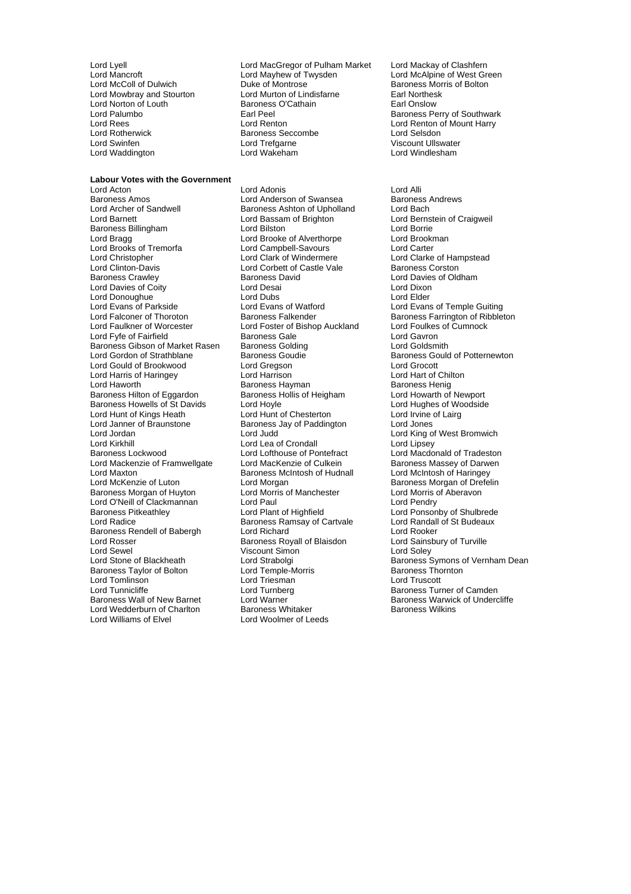Lord Norton of Louth Baroness<br>
Lord Palumbo<br>
Earl Peel Lord Rotherwick Baroness Seccombe<br>
Lord Swinfen<br>
Lord Trefgarne Lord Waddington

#### **Labour Votes with the Government**

Baroness Amos<br>
Lord Archer of Sandwell **Exercise Baroness Ashton of Upholland** Lord Bach<br>
Baroness Ashton of Upholland Lord Bach Lord Archer of Sandwell Baroness Ashton of Upholland<br>
Lord Barnett Lord Bassam of Brighton Baroness Billingham **Lord Bilston** Lord Bilston Lord Borrie Lord Borrie Lord Borrie Lord Brookman Lord Brookman Lord Brooks of Tremorfa Lord Campbell-Savours Lord Carter Lord Christopher Lord Clark of Windermere Lord Clarke of Hampstead Lord Clinton-Davis **Lord Corbett of Castle Vale** Baroness Corston<br>
Baroness Crawley **Baroness David** Baroness David Lord Davies of Old Lord Davies of Coity<br>
Lord Donoughue<br>
Lord Duhs Lord Donoughue **Lord Dubs** Lord Dubs Lord Elder<br>
Lord Evans of Parkside **Lord Evans** Lord Evans of Watford Lord Evans Lord Evans of Parkside Lord Evans of Watford Lord Evans of Temple Guiting Lord Falconer of Thoroton **Baroness Falkender** Baroness Farrington of Ribbleton<br>
Lord Faulkner of Worcester **Bolland** Lord Foster of Bishop Auckland Lord Foulkes of Cumnock Lord Fyfe of Fairfield **Baroness Gale** Baroness Gale Lord Gavron<br>Baroness Gibson of Market Rasen Baroness Golding **Baroness Golding** Lord Goldsmith Baroness Gibson of Market Rasen Baroness Golding<br>Lord Gordon of Strathblane Baroness Goudie Lord Gould of Brookwood Lord Gregson Lord Grocott Lord Harris of Haringey Lord Harrison Lord Hart of Chilton Baroness Hilton of Eggardon Baroness Howells of St Davids<br>
Lord Hughes of Woodside<br>
Lord Hunt of Kings Heath<br>
Lord Irvine of Lairg Lord Hunt of Kings Heath Lord Hunt of Chesterton Lord Irvine<br>
Lord Janner of Braunstone Baroness Jav of Paddington Lord Jones Lord Janner of Braunstone Baroness Jay of Paddington Lord Jones Lord Kirkhill Lord Lord Lea of Crondall Lord Lipsey<br>
Baroness Lockwood Lord Lord Lord Lofthouse of Pontefract Lord Macdo Lord Mackenzie of Framwellgate Lord Maxton **Baroness McIntosh of Hudnall** Lord McIntosh of Haringey<br>Lord McKenzie of Luton **Baroness McIntosh of Accept** Lord Morgan Baroness Morgan of Huyton Lord Morris of Manchester Lord Cortis Cord Morris of Manchester Lord Pendry<br>Lord Dendry Lord Pendry Lord O'Neill of Clackmannan<br>
Baroness Pitkeathley Lord Plant of Highfield Baroness Pitkeathley Lord Plant of Highfield Lord Ponsonby of Shulbrede Baroness Rendell of Babergh Lord Richard Lord Rooker<br>
Lord Rooker<br>
Lord Rosser Baroness Royall of Blaisdon Lord Sainsbury of Turville Lord Rosser **Baroness Royall of Blaisdon** Lord Sainsbury Corporation Corporation Corporation Corporation Corporation<br>Bury of Turville Corporation Corporation Corporation Corporation Corporation Corporation Corporation Corp Lord Sewel Viscount Simon<br>
Lord Stone of Blackheath 
Lord Strabolgi Baroness Taylor of Bolton Lord Tomlinson Lord Triesman Lord Truscott Lord Tunnicliffe Lord Turnberg Communication and Camden<br>Baroness Wall of New Barnet Lord Warner Communication Baroness Warwick of Undero Lord Wedderburn of Charlton<br>Lord Williams of Elvel

Lord Lyell Lord MacGregor of Pulham Market Lord Mackay of Clashfern Lord Mancroft **Lord Mayhew of Twysden** Lord McAlpine of West Green<br>
Lord McColl of Dulwich **Lord Mexic Duke of Montrose** Baroness Morris of Bolton Duke of Montrose in American Baroness Morris of Bolton<br>
Lord Murton of Lindisfarne Earl Northesk Lord Mowbray and Stourton **Lord Murton of Lindisfarne** Earl Northes<br>
Lord Norton of Louth **Baroness O'Cathain** Earl Onslow Lord Palumbo Earl Peel Baroness Perry of Southwark Lord Rees<br>
Lord Renton Lord Renton of Mount Harry<br>
Lord Rotherwick Baroness Seccombe Lord Selsdon Lord Trefgarne **Viscount Ullswater**<br>
Lord Wakeham **Viscount Ullswater**<br>
Lord Windlesham

Lord Acton **Lord Adonis**<br>
Lord Anderson of Swansea Baroness Andrews<br>
Lord Anderson of Swansea Baroness Andrews Lord Brooke of Alverthorpe Lord Brookn<br>
Lord Campbell-Savours
Lord Carter Baroness David Lord Davies of Oldham<br>
Lord Desai Lord Foster of Bishop Auckland Baroness Hayman<br>
Baroness Hollis of Heigham
Baroness Hollis of Heigham
Baroness Hollis of Heigham
Baroness Hollis of Heigham
Baroness Hollis of Heigham
Baroness Hollis of Heigham
Baroness Hollis of Heigham
Baroness Hollis Lord Lofthouse of Pontefract Lord Macdonald of Tradeston<br>
Lord MacKenzie of Culkein Baroness Massey of Darwen Lord Morgan<br>
Lord Morris of Manchester<br>
Lord Morris of Aberavon Baroness Ramsay of Cartvale Lord Randall<br>
Lord Richard Lord Rooker Lord Warner **Baroness Warwick of Undercliffe**<br>Baroness Whitaker **Baroness Warwick of Undercliffe** Lord Woolmer of Leeds

Lord Bernstein of Craigweil Baroness Gould of Potternewton Lord King of West Bromwich Lord Strabolgi **Channess** Symons of Vernham Dean<br>
Lord Temple-Morris **Channess Symons of Vernham Dean**